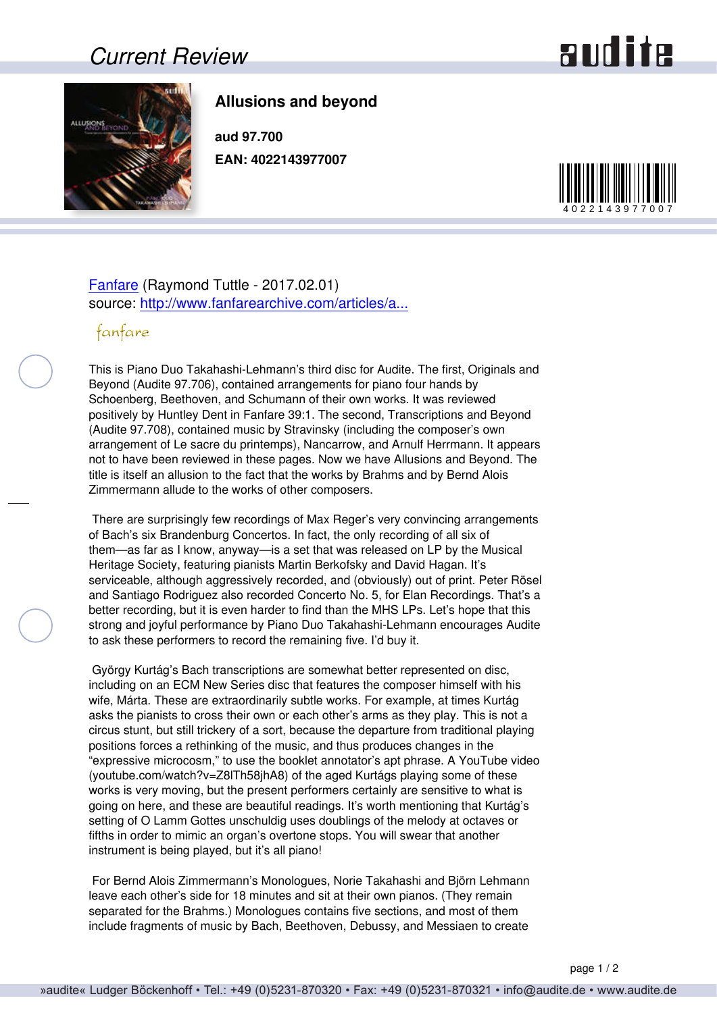### *Current Review*

# and ite



#### **Allusions and beyond**

**aud 97.700 EAN: 4022143977007**



#### [Fanfare](http://www.fanfaremag.com/) (Raymond Tuttle - 2017.02.01) source: [http://www.fanfarearchive.com/articles/a...](http://www.fanfarearchive.com/articles/atop/40_4/4044860.zz5_ALLUSIONS_BEYOND_Pn_Duo.html)

#### fanfare

This is Piano Duo Takahashi-Lehmann's third disc for Audite. The first, Originals and Beyond (Audite 97.706), contained arrangements for piano four hands by Schoenberg, Beethoven, and Schumann of their own works. It was reviewed positively by Huntley Dent in Fanfare 39:1. The second, Transcriptions and Beyond (Audite 97.708), contained music by Stravinsky (including the composer's own arrangement of Le sacre du printemps), Nancarrow, and Arnulf Herrmann. It appears not to have been reviewed in these pages. Now we have Allusions and Beyond. The title is itself an allusion to the fact that the works by Brahms and by Bernd Alois Zimmermann allude to the works of other composers.

 There are surprisingly few recordings of Max Reger's very convincing arrangements of Bach's six Brandenburg Concertos. In fact, the only recording of all six of them—as far as I know, anyway—is a set that was released on LP by the Musical Heritage Society, featuring pianists Martin Berkofsky and David Hagan. It's serviceable, although aggressively recorded, and (obviously) out of print. Peter Rösel and Santiago Rodriguez also recorded Concerto No. 5, for Elan Recordings. That's a better recording, but it is even harder to find than the MHS LPs. Let's hope that this strong and joyful performance by Piano Duo Takahashi-Lehmann encourages Audite to ask these performers to record the remaining five. I'd buy it.

 György Kurtág's Bach transcriptions are somewhat better represented on disc, including on an ECM New Series disc that features the composer himself with his wife, Márta. These are extraordinarily subtle works. For example, at times Kurtág asks the pianists to cross their own or each other's arms as they play. This is not a circus stunt, but still trickery of a sort, because the departure from traditional playing positions forces a rethinking of the music, and thus produces changes in the "expressive microcosm," to use the booklet annotator's apt phrase. A YouTube video (youtube.com/watch?v=Z8lTh58jhA8) of the aged Kurtágs playing some of these works is very moving, but the present performers certainly are sensitive to what is going on here, and these are beautiful readings. It's worth mentioning that Kurtág's setting of O Lamm Gottes unschuldig uses doublings of the melody at octaves or fifths in order to mimic an organ's overtone stops. You will swear that another instrument is being played, but it's all piano!

 For Bernd Alois Zimmermann's Monologues, Norie Takahashi and Björn Lehmann leave each other's side for 18 minutes and sit at their own pianos. (They remain separated for the Brahms.) Monologues contains five sections, and most of them include fragments of music by Bach, Beethoven, Debussy, and Messiaen to create